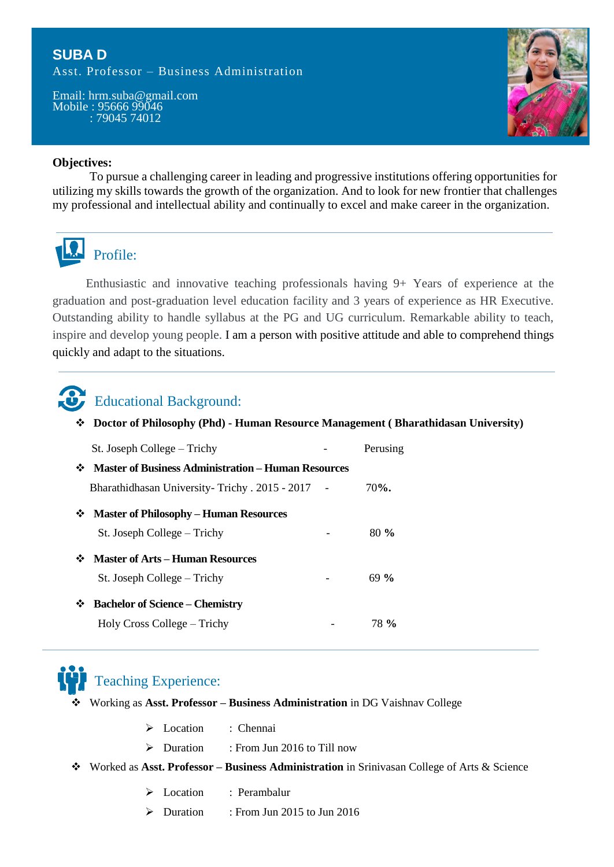### **SUBA D**

Asst. Professor – Business Administration

Email: hrm.suba@gmail.com Mobile : 95666 99046 : 79045 74012



#### **Objectives:**

To pursue a challenging career in leading and progressive institutions offering opportunities for utilizing my skills towards the growth of the organization. And to look for new frontier that challenges my professional and intellectual ability and continually to excel and make career in the organization.



Enthusiastic and innovative teaching professionals having 9+ Years of experience at the graduation and post-graduation level education facility and 3 years of experience as HR Executive. Outstanding ability to handle syllabus at the PG and UG curriculum. Remarkable ability to teach, inspire and develop young people. I am a person with positive attitude and able to comprehend things quickly and adapt to the situations.



# Educational Background:

**Doctor of Philosophy (Phd) - Human Resource Management ( Bharathidasan University)**

|   | St. Joseph College – Trichy                                |  | Perusing |
|---|------------------------------------------------------------|--|----------|
| ❖ | <b>Master of Business Administration - Human Resources</b> |  |          |
|   | Bharathidhasan University-Trichy. 2015 - 2017              |  | $70%$ .  |
| ❖ | <b>Master of Philosophy - Human Resources</b>              |  |          |
|   | St. Joseph College – Trichy                                |  | $80\%$   |
|   | <b>Master of Arts – Human Resources</b>                    |  |          |
|   | St. Joseph College – Trichy                                |  | $69\%$   |
| ❖ | <b>Bachelor of Science – Chemistry</b>                     |  |          |
|   | Holy Cross College – Trichy                                |  | 78 %     |



# Teaching Experience:

- Working as **Asst. Professor – Business Administration** in DG Vaishnav College
	- $\triangleright$  Location  $\cdot$  Chennai
	- $\triangleright$  Duration : From Jun 2016 to Till now
- Worked as **Asst. Professor – Business Administration** in Srinivasan College of Arts & Science
	- > Location : Perambalur
	- Duration : From Jun 2015 to Jun 2016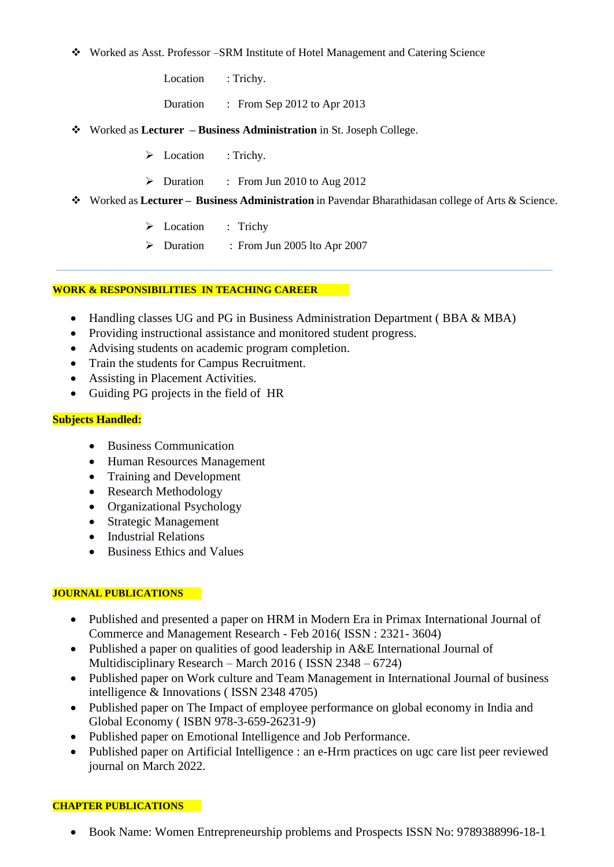#### Worked as Asst. Professor –SRM Institute of Hotel Management and Catering Science

Location : Trichy.

Duration : From Sep 2012 to Apr 2013

- Worked as **Lecturer – Business Administration** in St. Joseph College.
	- > Location : Trichy.
	- $\triangleright$  Duration : From Jun 2010 to Aug 2012
- Worked as **Lecturer Business Administration** in Pavendar Bharathidasan college of Arts & Science.
	- Execution : Trichy
	- Duration : From Jun 2005 lto Apr 2007

#### **WORK & RESPONSIBILITIES IN TEACHING CAREER**

- Handling classes UG and PG in Business Administration Department (BBA & MBA)
- Providing instructional assistance and monitored student progress.
- Advising students on academic program completion.
- Train the students for Campus Recruitment.
- Assisting in Placement Activities.
- Guiding PG projects in the field of HR

#### **Subjects Handled:**

- Business Communication
- Human Resources Management
- Training and Development
- Research Methodology
- Organizational Psychology
- Strategic Management
- Industrial Relations
- Business Ethics and Values

#### **JOURNAL PUBLICATIONS**

- Published and presented a paper on HRM in Modern Era in Primax International Journal of Commerce and Management Research - Feb 2016( ISSN : 2321- 3604)
- Published a paper on qualities of good leadership in A&E International Journal of Multidisciplinary Research – March 2016 ( ISSN 2348 – 6724)
- Published paper on Work culture and Team Management in International Journal of business intelligence & Innovations ( ISSN 2348 4705)
- Published paper on The Impact of employee performance on global economy in India and Global Economy ( ISBN 978-3-659-26231-9)
- Published paper on Emotional Intelligence and Job Performance.
- Published paper on Artificial Intelligence : an e-Hrm practices on ugc care list peer reviewed journal on March 2022.

#### **CHAPTER PUBLICATIONS**

Book Name: Women Entrepreneurship problems and Prospects ISSN No: 9789388996-18-1